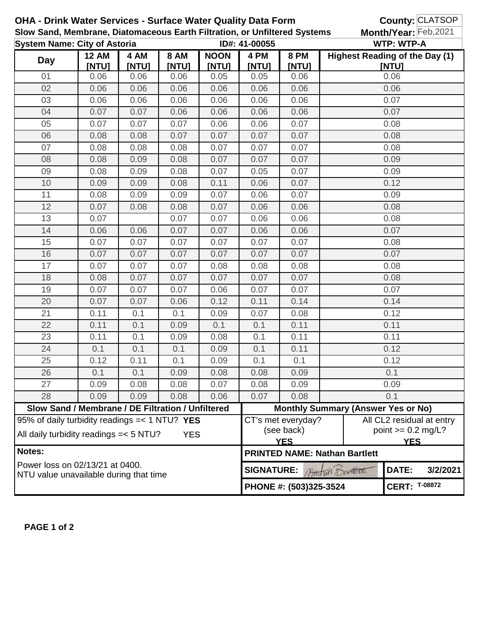| <b>OHA - Drink Water Services - Surface Water Quality Data Form</b>                                              |       |             |                             |                        |                                            |                                      | County: CLATSOP                            |                                    |          |
|------------------------------------------------------------------------------------------------------------------|-------|-------------|-----------------------------|------------------------|--------------------------------------------|--------------------------------------|--------------------------------------------|------------------------------------|----------|
| Slow Sand, Membrane, Diatomaceous Earth Filtration, or Unfiltered Systems<br><b>System Name: City of Astoria</b> |       |             |                             | ID#: 41-00055          |                                            |                                      | Month/Year: Feb, 2021<br><b>WTP: WTP-A</b> |                                    |          |
| 4 AM<br><b>12 AM</b>                                                                                             |       | <b>8 AM</b> | 8 PM<br><b>NOON</b><br>4 PM |                        |                                            |                                      | <b>Highest Reading of the Day (1)</b>      |                                    |          |
| <b>Day</b>                                                                                                       | [NTU] | [NTU]       | [NTU]                       | [NTU]                  | [NTU]                                      | <b>[NTU]</b>                         |                                            | [NTU]                              |          |
| 01                                                                                                               | 0.06  | 0.06        | 0.06                        | 0.05                   | 0.05                                       | 0.06                                 |                                            | 0.06                               |          |
| 02                                                                                                               | 0.06  | 0.06        | 0.06                        | 0.06                   | 0.06                                       | 0.06                                 |                                            | 0.06                               |          |
| 03                                                                                                               | 0.06  | 0.06        | 0.06                        | 0.06                   | 0.06                                       | 0.06                                 |                                            | 0.07                               |          |
| 04                                                                                                               | 0.07  | 0.07        | 0.06                        | 0.06                   | 0.06                                       | 0.06                                 |                                            | 0.07                               |          |
| 05                                                                                                               | 0.07  | 0.07        | 0.07                        | 0.06                   | 0.06                                       | 0.07                                 |                                            | 0.08                               |          |
| 06                                                                                                               | 0.08  | 0.08        | 0.07                        | 0.07                   | 0.07                                       | 0.07                                 |                                            | 0.08                               |          |
| 07                                                                                                               | 0.08  | 0.08        | 0.08                        | 0.07                   | 0.07                                       | 0.07                                 |                                            | 0.08                               |          |
| 08                                                                                                               | 0.08  | 0.09        | 0.08                        | 0.07                   | 0.07                                       | 0.07                                 |                                            | 0.09                               |          |
| 09                                                                                                               | 0.08  | 0.09        | 0.08                        | 0.07                   | 0.05                                       | 0.07                                 |                                            | 0.09                               |          |
| 10                                                                                                               | 0.09  | 0.09        | 0.08                        | 0.11                   | 0.06                                       | 0.07                                 |                                            | 0.12                               |          |
| 11                                                                                                               | 0.08  | 0.09        | 0.09                        | 0.07                   | 0.06                                       | 0.07                                 |                                            | 0.09                               |          |
| 12                                                                                                               | 0.07  | 0.08        | 0.08                        | 0.07                   | 0.06                                       | 0.06                                 |                                            | 0.08                               |          |
| 13                                                                                                               | 0.07  |             | 0.07                        | 0.07                   | 0.06                                       | 0.06                                 |                                            | 0.08                               |          |
| 14                                                                                                               | 0.06  | 0.06        | 0.07                        | 0.07                   | 0.06                                       | 0.06                                 |                                            | 0.07                               |          |
| 15                                                                                                               | 0.07  | 0.07        | 0.07                        | 0.07                   | 0.07                                       | 0.07                                 |                                            | 0.08                               |          |
| 16                                                                                                               | 0.07  | 0.07        | 0.07                        | 0.07                   | 0.07                                       | 0.07                                 |                                            | 0.07                               |          |
| 17                                                                                                               | 0.07  | 0.07        | 0.07                        | 0.08                   | 0.08                                       | 0.08                                 |                                            | 0.08                               |          |
| 18                                                                                                               | 0.08  | 0.07        | 0.07                        | 0.07                   | 0.07                                       | 0.07                                 |                                            | 0.08                               |          |
| 19                                                                                                               | 0.07  | 0.07        | 0.07                        | 0.06                   | 0.07                                       | 0.07                                 |                                            | 0.07                               |          |
| 20                                                                                                               | 0.07  | 0.07        | 0.06                        | 0.12                   | 0.11                                       | 0.14                                 | 0.14                                       |                                    |          |
| 21                                                                                                               | 0.11  | 0.1         | 0.1                         | 0.09                   | 0.07                                       | 0.08                                 | 0.12                                       |                                    |          |
| 22                                                                                                               | 0.11  | 0.1         | 0.09                        | 0.1                    | 0.1                                        | 0.11                                 | 0.11                                       |                                    |          |
| 23                                                                                                               | 0.11  | 0.1         | 0.09                        | 0.08                   | 0.1                                        | 0.11                                 |                                            | 0.11                               |          |
| 24                                                                                                               | 0.1   | 0.1         | 0.1                         | 0.09                   | 0.1                                        | 0.11                                 |                                            | 0.12                               |          |
| 25                                                                                                               | 0.12  | 0.11        | 0.1                         | 0.09                   | 0.1                                        | 0.1                                  |                                            | 0.12                               |          |
| 26                                                                                                               | 0.1   | 0.1         | 0.09                        | 0.08                   | 0.08                                       | 0.09                                 |                                            | 0.1                                |          |
| 27                                                                                                               | 0.09  | 0.08        | 0.08                        | 0.07                   | 0.08                                       | 0.09                                 |                                            | 0.09                               |          |
| 28                                                                                                               | 0.09  | 0.09        | 0.08                        | 0.06                   | 0.07                                       | 0.08                                 |                                            | 0.1                                |          |
| Slow Sand / Membrane / DE Filtration / Unfiltered                                                                |       |             |                             |                        | <b>Monthly Summary (Answer Yes or No)</b>  |                                      |                                            |                                    |          |
| 95% of daily turbidity readings = < 1 NTU? YES                                                                   |       |             |                             |                        |                                            | CT's met everyday?                   |                                            | All CL2 residual at entry          |          |
| All daily turbidity readings = < 5 NTU?<br><b>YES</b>                                                            |       |             |                             |                        | (see back)<br><b>YES</b>                   |                                      |                                            | point $>= 0.2$ mg/L?<br><b>YES</b> |          |
| Notes:                                                                                                           |       |             |                             |                        |                                            | <b>PRINTED NAME: Nathan Bartlett</b> |                                            |                                    |          |
| Power loss on 02/13/21 at 0400.<br>NTU value unavailable during that time                                        |       |             |                             |                        | DATE:<br><b>SIGNATURE:</b><br>Autro Danett |                                      |                                            |                                    | 3/2/2021 |
|                                                                                                                  |       |             |                             | PHONE #: (503)325-3524 |                                            |                                      | <b>CERT: T-08872</b>                       |                                    |          |

**PAGE 1 of 2**